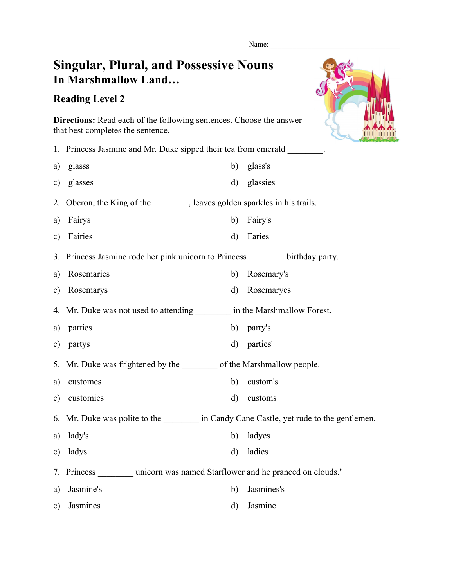Name:

## **Singular, Plural, and Possessive Nouns In Marshmallow Land…**

## **Reading Level 2**



**Directions:** Read each of the following sentences. Choose the answer that best completes the sentence.

|               | 1. Princess Jasmine and Mr. Duke sipped their tea from emerald _________.      |              |            |  |
|---------------|--------------------------------------------------------------------------------|--------------|------------|--|
| a)            | glasss                                                                         | b)           | glass's    |  |
| c)            | glasses                                                                        | $\mathbf{d}$ | glassies   |  |
|               | 2. Oberon, the King of the ________, leaves golden sparkles in his trails.     |              |            |  |
| a)            | Fairys                                                                         | b)           | Fairy's    |  |
| c)            | Fairies                                                                        | $\mathbf{d}$ | Faries     |  |
|               | 3. Princess Jasmine rode her pink unicorn to Princess ________ birthday party. |              |            |  |
| a)            | Rosemaries                                                                     | b)           | Rosemary's |  |
| $\mathbf{c})$ | Rosemarys                                                                      | $\mathbf{d}$ | Rosemaryes |  |
|               | 4. Mr. Duke was not used to attending _________ in the Marshmallow Forest.     |              |            |  |
| a)            | parties                                                                        | b)           | party's    |  |
| $\mathbf{c})$ | partys                                                                         | $\mathbf{d}$ | parties'   |  |
|               | 5. Mr. Duke was frightened by the _________ of the Marshmallow people.         |              |            |  |
| a)            | customes                                                                       | b)           | custom's   |  |
| c)            | customies                                                                      | $\mathbf{d}$ | customs    |  |
|               | 6. Mr. Duke was polite to the in Candy Cane Castle, yet rude to the gentlemen. |              |            |  |
| a)            | lady's                                                                         | b)           | ladyes     |  |
| c)            | ladys                                                                          | $\mathbf{d}$ | ladies     |  |
|               | 7. Princess _______ unicorn was named Starflower and he pranced on clouds."    |              |            |  |
| a)            | Jasmine's                                                                      | b)           | Jasmines's |  |
| c)            | Jasmines                                                                       | $\mathbf{d}$ | Jasmine    |  |
|               |                                                                                |              |            |  |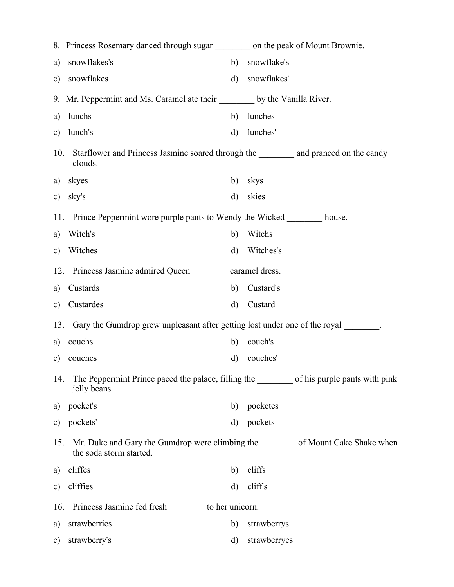|               | 8. Princess Rosemary danced through sugar __________ on the peak of Mount Brownie.                 |              |                                                                          |  |
|---------------|----------------------------------------------------------------------------------------------------|--------------|--------------------------------------------------------------------------|--|
| a)            | snowflakes's                                                                                       | b)           | snowflake's                                                              |  |
| c)            | snowflakes                                                                                         | $\mathbf{d}$ | snowflakes'                                                              |  |
|               | 9. Mr. Peppermint and Ms. Caramel ate their ________ by the Vanilla River.                         |              |                                                                          |  |
| a)            | lunchs                                                                                             | b)           | lunches                                                                  |  |
| $\mathbf{c})$ | lunch's                                                                                            | $\mathbf{d}$ | lunches'                                                                 |  |
| 10.           | Starflower and Princess Jasmine soared through the ___________ and pranced on the candy<br>clouds. |              |                                                                          |  |
| a)            | skyes                                                                                              | b)           | skys                                                                     |  |
| c)            | sky's                                                                                              | $\rm d)$     | skies                                                                    |  |
|               | 11. Prince Peppermint wore purple pants to Wendy the Wicked ________ house.                        |              |                                                                          |  |
| a)            | Witch's                                                                                            | b)           | Witchs                                                                   |  |
| $\mathbf{c})$ | Witches                                                                                            | d)           | Witches's                                                                |  |
|               | 12. Princess Jasmine admired Queen _________ caramel dress.                                        |              |                                                                          |  |
| a)            | Custards                                                                                           | b)           | Custard's                                                                |  |
| $\mathbf{c})$ | Custardes                                                                                          | $\mathbf{d}$ | Custard                                                                  |  |
|               | 13. Gary the Gumdrop grew unpleasant after getting lost under one of the royal ________.           |              |                                                                          |  |
| a)            | couchs                                                                                             | b)           | couch's                                                                  |  |
| $\mathbf{c})$ | couches                                                                                            | d)           | couches'                                                                 |  |
| 14.           | jelly beans.                                                                                       |              |                                                                          |  |
| a)            | pocket's                                                                                           | b)           | pocketes                                                                 |  |
| c)            | pockets'                                                                                           | $\mathbf{d}$ | pockets                                                                  |  |
| 15.           | the soda storm started.                                                                            |              | Mr. Duke and Gary the Gumdrop were climbing the of Mount Cake Shake when |  |
| a)            | cliffes                                                                                            | b)           | cliffs                                                                   |  |
| $\mathbf{c})$ | cliffies                                                                                           | d)           | cliffs                                                                   |  |
|               | Princess Jasmine fed fresh _________ to her unicorn.<br>16.                                        |              |                                                                          |  |
| a)            | strawberries                                                                                       | b)           | strawberrys                                                              |  |
| $\mathbf{c})$ | strawberry's                                                                                       | $\rm d)$     | strawberryes                                                             |  |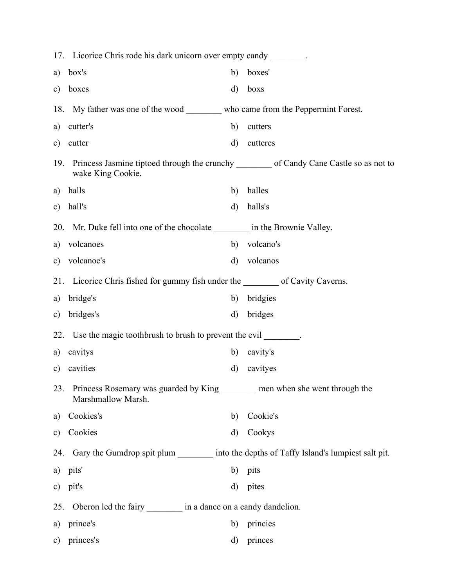|               | 17. Licorice Chris rode his dark unicorn over empty candy ________.                                            |              |           |  |  |
|---------------|----------------------------------------------------------------------------------------------------------------|--------------|-----------|--|--|
| a)            | box's                                                                                                          | b)           | boxes'    |  |  |
| c)            | boxes                                                                                                          | $\mathbf{d}$ | boxs      |  |  |
|               | 18. My father was one of the wood _________ who came from the Peppermint Forest.                               |              |           |  |  |
| a)            | cutter's                                                                                                       | b)           | cutters   |  |  |
| $\mathbf{c})$ | cutter                                                                                                         | $\mathbf{d}$ | cutteres  |  |  |
| 19.           | Princess Jasmine tiptoed through the crunchy __________ of Candy Cane Castle so as not to<br>wake King Cookie. |              |           |  |  |
|               | a) halls                                                                                                       | b)           | halles    |  |  |
| c)            | hall's                                                                                                         | $\mathbf{d}$ | halls's   |  |  |
|               | 20. Mr. Duke fell into one of the chocolate _________ in the Brownie Valley.                                   |              |           |  |  |
| a)            | volcanoes                                                                                                      | b)           | volcano's |  |  |
| $\mathbf{c})$ | volcanoe's                                                                                                     | $\mathbf{d}$ | volcanos  |  |  |
|               | 21. Licorice Chris fished for gummy fish under the second of Cavity Caverns.                                   |              |           |  |  |
| a)            | bridge's                                                                                                       | b)           | bridgies  |  |  |
| $\mathbf{c})$ | bridges's                                                                                                      | $\rm d)$     | bridges   |  |  |
|               | 22. Use the magic toothbrush to brush to prevent the evil                                                      |              |           |  |  |
| a)            | cavitys                                                                                                        | b)           | cavity's  |  |  |
| $\mathbf{c})$ | cavities                                                                                                       | $\rm d)$     | cavityes  |  |  |
| 23.           | Princess Rosemary was guarded by King ________ men when she went through the<br>Marshmallow Marsh.             |              |           |  |  |
| a)            | Cookies's                                                                                                      | b)           | Cookie's  |  |  |
| $\mathbf{c})$ | Cookies                                                                                                        | $\mathbf{d}$ | Cookys    |  |  |
|               | 24. Gary the Gumdrop spit plum __________ into the depths of Taffy Island's lumpiest salt pit.                 |              |           |  |  |
| a)            | pits'                                                                                                          | b)           | pits      |  |  |
| $\mathbf{c})$ | pit's                                                                                                          | $\mathbf{d}$ | pites     |  |  |
| 25.           | Oberon led the fairy __________ in a dance on a candy dandelion.                                               |              |           |  |  |
| a)            | prince's                                                                                                       | b)           | princies  |  |  |
| $\mathbf{c})$ | princes's                                                                                                      | d)           | princes   |  |  |